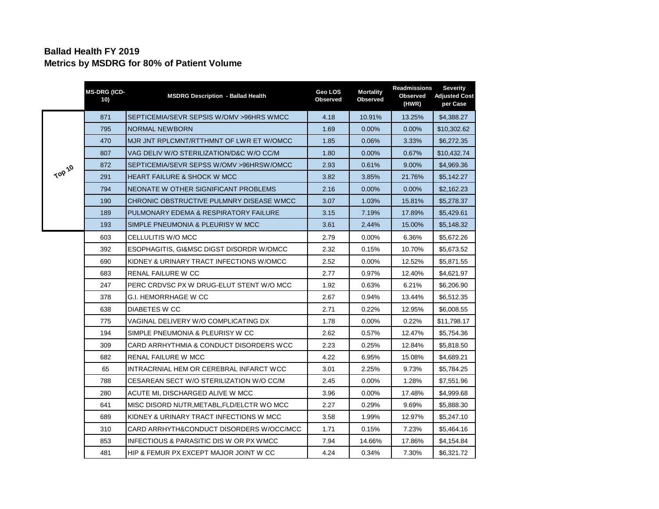## **Ballad Health FY 2019 Metrics by MSDRG for 80% of Patient Volume**

|        | <b>MS-DRG (ICD-</b><br>10) | <b>MSDRG Description - Ballad Health</b>   | Geo LOS<br>Observed | <b>Mortality</b><br><b>Observed</b> | <b>Readmissions</b><br>Observed<br>(HWR) | <b>Severity</b><br><b>Adjusted Cost</b><br>per Case |
|--------|----------------------------|--------------------------------------------|---------------------|-------------------------------------|------------------------------------------|-----------------------------------------------------|
| TOP 10 | 871                        | SEPTICEMIA/SEVR SEPSIS W/OMV > 96HRS WMCC  | 4.18                | 10.91%                              | 13.25%                                   | \$4,388.27                                          |
|        | 795                        | <b>NORMAL NEWBORN</b>                      | 1.69                | $0.00\%$                            | $0.00\%$                                 | \$10,302.62                                         |
|        | 470                        | MJR JNT RPLCMNT/RTTHMNT OF LWR ET W/OMCC   | 1.85                | 0.06%                               | 3.33%                                    | \$6,272.35                                          |
|        | 807                        | VAG DELIV W/O STERILIZATION/D&C W/O CC/M   | 1.80                | $0.00\%$                            | 0.67%                                    | \$10,432.74                                         |
|        | 872                        | SEPTICEMIA/SEVR SEPSS W/OMV >96HRSW/OMCC   | 2.93                | 0.61%                               | 9.00%                                    | \$4,969.36                                          |
|        | 291                        | <b>HEART FAILURE &amp; SHOCK W MCC</b>     | 3.82                | 3.85%                               | 21.76%                                   | \$5,142.27                                          |
|        | 794                        | NEONATE W OTHER SIGNIFICANT PROBLEMS       | 2.16                | 0.00%                               | 0.00%                                    | \$2,162.23                                          |
|        | 190                        | CHRONIC OBSTRUCTIVE PULMNRY DISEASE WMCC   | 3.07                | 1.03%                               | 15.81%                                   | \$5,278.37                                          |
|        | 189                        | PULMONARY EDEMA & RESPIRATORY FAILURE      | 3.15                | 7.19%                               | 17.89%                                   | \$5,429.61                                          |
|        | 193                        | SIMPLE PNEUMONIA & PLEURISY W MCC          | 3.61                | 2.44%                               | 15.00%                                   | \$5,148.32                                          |
|        | 603                        | CELLULITIS W/O MCC                         | 2.79                | $0.00\%$                            | 6.36%                                    | \$5,672.26                                          |
|        | 392                        | ESOPHAGITIS, GI&MSC DIGST DISORDR W/OMCC   | 2.32                | 0.15%                               | 10.70%                                   | \$5,673.52                                          |
|        | 690                        | KIDNEY & URINARY TRACT INFECTIONS W/OMCC   | 2.52                | 0.00%                               | 12.52%                                   | \$5,871.55                                          |
|        | 683                        | RENAL FAILURE W CC                         | 2.77                | 0.97%                               | 12.40%                                   | \$4,621.97                                          |
|        | 247                        | PERC CRDVSC PX W DRUG-ELUT STENT W/O MCC   | 1.92                | 0.63%                               | 6.21%                                    | \$6,206.90                                          |
|        | 378                        | <b>G.I. HEMORRHAGE W CC</b>                | 2.67                | 0.94%                               | 13.44%                                   | \$6,512.35                                          |
|        | 638                        | DIABETES W CC                              | 2.71                | $0.22\%$                            | 12.95%                                   | \$6,008.55                                          |
|        | 775                        | VAGINAL DELIVERY W/O COMPLICATING DX       | 1.78                | 0.00%                               | 0.22%                                    | \$11,798.17                                         |
|        | 194                        | SIMPLE PNEUMONIA & PLEURISY W CC           | 2.62                | 0.57%                               | 12.47%                                   | \$5,754.36                                          |
|        | 309                        | CARD ARRHYTHMIA & CONDUCT DISORDERS WCC    | 2.23                | 0.25%                               | 12.84%                                   | \$5,818.50                                          |
|        | 682                        | RENAL FAILURE W MCC                        | 4.22                | 6.95%                               | 15.08%                                   | \$4,689.21                                          |
|        | 65                         | INTRACRNIAL HEM OR CEREBRAL INFARCT WCC    | 3.01                | 2.25%                               | 9.73%                                    | \$5,784.25                                          |
|        | 788                        | CESAREAN SECT W/O STERILIZATION W/O CC/M   | 2.45                | $0.00\%$                            | 1.28%                                    | \$7,551.96                                          |
|        | 280                        | ACUTE MI, DISCHARGED ALIVE W MCC           | 3.96                | 0.00%                               | 17.48%                                   | \$4,999.68                                          |
|        | 641                        | MISC DISORD NUTR, METABL, FLD/ELCTR WO MCC | 2.27                | 0.29%                               | 9.69%                                    | \$5,888.30                                          |
|        | 689                        | KIDNEY & URINARY TRACT INFECTIONS W MCC    | 3.58                | 1.99%                               | 12.97%                                   | \$5,247.10                                          |
|        | 310                        | CARD ARRHYTH&CONDUCT DISORDERS W/OCC/MCC   | 1.71                | 0.15%                               | 7.23%                                    | \$5,464.16                                          |
|        | 853                        | INFECTIOUS & PARASITIC DIS W OR PX WMCC    | 7.94                | 14.66%                              | 17.86%                                   | \$4,154.84                                          |
|        | 481                        | HIP & FEMUR PX EXCEPT MAJOR JOINT W CC     | 4.24                | 0.34%                               | 7.30%                                    | \$6,321.72                                          |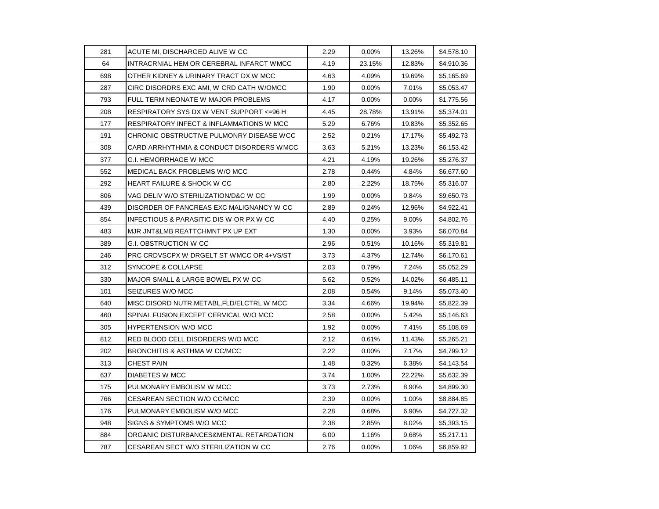| 281 | ACUTE MI, DISCHARGED ALIVE W CC            | 2.29 | 0.00%    | 13.26% | \$4,578.10 |
|-----|--------------------------------------------|------|----------|--------|------------|
| 64  | INTRACRNIAL HEM OR CEREBRAL INFARCT WMCC   | 4.19 | 23.15%   | 12.83% | \$4,910.36 |
| 698 | OTHER KIDNEY & URINARY TRACT DX W MCC      | 4.63 | 4.09%    | 19.69% | \$5,165.69 |
| 287 | CIRC DISORDRS EXC AMI, W CRD CATH W/OMCC   | 1.90 | $0.00\%$ | 7.01%  | \$5,053.47 |
| 793 | FULL TERM NEONATE W MAJOR PROBLEMS         | 4.17 | 0.00%    | 0.00%  | \$1,775.56 |
| 208 | RESPIRATORY SYS DX W VENT SUPPORT <=96 H   | 4.45 | 28.78%   | 13.91% | \$5,374.01 |
| 177 | RESPIRATORY INFECT & INFLAMMATIONS W MCC   | 5.29 | 6.76%    | 19.83% | \$5,352.65 |
| 191 | CHRONIC OBSTRUCTIVE PULMONRY DISEASE WCC   | 2.52 | 0.21%    | 17.17% | \$5,492.73 |
| 308 | CARD ARRHYTHMIA & CONDUCT DISORDERS WMCC   | 3.63 | 5.21%    | 13.23% | \$6,153.42 |
| 377 | G.I. HEMORRHAGE W MCC                      | 4.21 | 4.19%    | 19.26% | \$5,276.37 |
| 552 | MEDICAL BACK PROBLEMS W/O MCC              | 2.78 | 0.44%    | 4.84%  | \$6,677.60 |
| 292 | <b>HEART FAILURE &amp; SHOCK W CC</b>      | 2.80 | 2.22%    | 18.75% | \$5,316.07 |
| 806 | VAG DELIV W/O STERILIZATION/D&C W CC       | 1.99 | $0.00\%$ | 0.84%  | \$9,650.73 |
| 439 | DISORDER OF PANCREAS EXC MALIGNANCY W CC   | 2.89 | 0.24%    | 12.96% | \$4,922.41 |
| 854 | INFECTIOUS & PARASITIC DIS W OR PX W CC    | 4.40 | 0.25%    | 9.00%  | \$4,802.76 |
| 483 | MJR JNT&LMB REATTCHMNT PX UP EXT           | 1.30 | 0.00%    | 3.93%  | \$6,070.84 |
| 389 | G.I. OBSTRUCTION W CC                      | 2.96 | 0.51%    | 10.16% | \$5,319.81 |
| 246 | PRC CRDVSCPX W DRGELT ST WMCC OR 4+VS/ST   | 3.73 | 4.37%    | 12.74% | \$6,170.61 |
| 312 | SYNCOPE & COLLAPSE                         | 2.03 | 0.79%    | 7.24%  | \$5,052.29 |
| 330 | MAJOR SMALL & LARGE BOWEL PX W CC          | 5.62 | 0.52%    | 14.02% | \$6,485.11 |
| 101 | SEIZURES W/O MCC                           | 2.08 | 0.54%    | 9.14%  | \$5,073.40 |
| 640 | MISC DISORD NUTR, METABL, FLD/ELCTRL W MCC | 3.34 | 4.66%    | 19.94% | \$5,822.39 |
| 460 | SPINAL FUSION EXCEPT CERVICAL W/O MCC      | 2.58 | 0.00%    | 5.42%  | \$5,146.63 |
| 305 | HYPERTENSION W/O MCC                       | 1.92 | $0.00\%$ | 7.41%  | \$5,108.69 |
| 812 | RED BLOOD CELL DISORDERS W/O MCC           | 2.12 | 0.61%    | 11.43% | \$5,265.21 |
| 202 | BRONCHITIS & ASTHMA W CC/MCC               | 2.22 | 0.00%    | 7.17%  | \$4,799.12 |
| 313 | <b>CHEST PAIN</b>                          | 1.48 | 0.32%    | 6.38%  | \$4,143.54 |
| 637 | DIABETES W MCC                             | 3.74 | 1.00%    | 22.22% | \$5,632.39 |
| 175 | PULMONARY EMBOLISM W MCC                   | 3.73 | 2.73%    | 8.90%  | \$4,899.30 |
| 766 | CESAREAN SECTION W/O CC/MCC                | 2.39 | 0.00%    | 1.00%  | \$8,884.85 |
| 176 | PULMONARY EMBOLISM W/O MCC                 | 2.28 | 0.68%    | 6.90%  | \$4,727.32 |
| 948 | SIGNS & SYMPTOMS W/O MCC                   | 2.38 | 2.85%    | 8.02%  | \$5,393.15 |
| 884 | ORGANIC DISTURBANCES&MENTAL RETARDATION    | 6.00 | 1.16%    | 9.68%  | \$5,217.11 |
| 787 | CESAREAN SECT W/O STERILIZATION W CC       | 2.76 | 0.00%    | 1.06%  | \$6,859.92 |